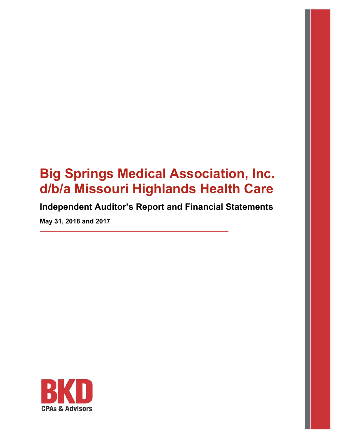**Independent Auditor's Report and Financial Statements** 

**May 31, 2018 and 2017** 

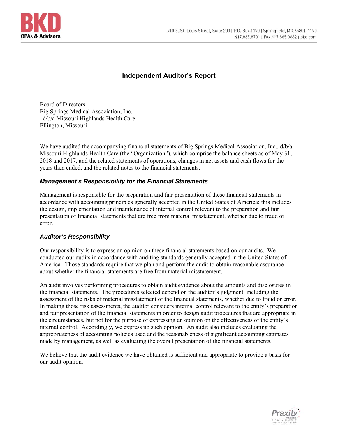

### **Independent Auditor's Report**

Board of Directors Big Springs Medical Association, Inc. d/b/a Missouri Highlands Health Care Ellington, Missouri

We have audited the accompanying financial statements of Big Springs Medical Association, Inc.,  $d/b/a$ Missouri Highlands Health Care (the "Organization"), which comprise the balance sheets as of May 31, 2018 and 2017, and the related statements of operations, changes in net assets and cash flows for the years then ended, and the related notes to the financial statements.

#### *Management's Responsibility for the Financial Statements*

Management is responsible for the preparation and fair presentation of these financial statements in accordance with accounting principles generally accepted in the United States of America; this includes the design, implementation and maintenance of internal control relevant to the preparation and fair presentation of financial statements that are free from material misstatement, whether due to fraud or error.

#### *Auditor's Responsibility*

Our responsibility is to express an opinion on these financial statements based on our audits. We conducted our audits in accordance with auditing standards generally accepted in the United States of America. Those standards require that we plan and perform the audit to obtain reasonable assurance about whether the financial statements are free from material misstatement.

An audit involves performing procedures to obtain audit evidence about the amounts and disclosures in the financial statements. The procedures selected depend on the auditor's judgment, including the assessment of the risks of material misstatement of the financial statements, whether due to fraud or error. In making those risk assessments, the auditor considers internal control relevant to the entity's preparation and fair presentation of the financial statements in order to design audit procedures that are appropriate in the circumstances, but not for the purpose of expressing an opinion on the effectiveness of the entity's internal control. Accordingly, we express no such opinion. An audit also includes evaluating the appropriateness of accounting policies used and the reasonableness of significant accounting estimates made by management, as well as evaluating the overall presentation of the financial statements.

We believe that the audit evidence we have obtained is sufficient and appropriate to provide a basis for our audit opinion.

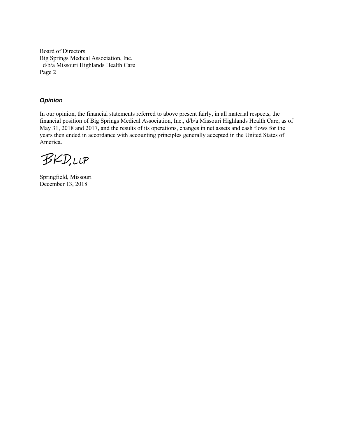Board of Directors Big Springs Medical Association, Inc. d/b/a Missouri Highlands Health Care Page 2

#### *Opinion*

In our opinion, the financial statements referred to above present fairly, in all material respects, the financial position of Big Springs Medical Association, Inc., d/b/a Missouri Highlands Health Care, as of May 31, 2018 and 2017, and the results of its operations, changes in net assets and cash flows for the years then ended in accordance with accounting principles generally accepted in the United States of America.

**BKD,LLP** 

Springfield, Missouri December 13, 2018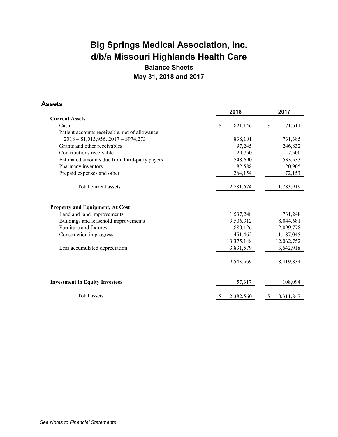## **Big Springs Medical Association, Inc. d/b/a Missouri Highlands Health Care Balance Sheets May 31, 2018 and 2017**

#### **Assets**

|                                                                      | 2018            | 2017             |
|----------------------------------------------------------------------|-----------------|------------------|
| <b>Current Assets</b>                                                |                 |                  |
| Cash                                                                 | \$<br>821,146   | \$<br>171,611    |
| Patient accounts receivable, net of allowance;                       |                 |                  |
| $2018 - $1,013,956,2017 - $974,273$                                  | 838,101         | 731,385          |
| Grants and other receivables                                         | 97,245          | 246,832          |
| Contributions receivable                                             | 29,750          | 7,500            |
| Estimated amounts due from third-party payers                        | 548,690         | 533,533          |
| Pharmacy inventory                                                   | 182,588         | 20,905           |
| Prepaid expenses and other                                           | 264,154         | 72,153           |
| Total current assets                                                 | 2,781,674       | 1,783,919        |
| <b>Property and Equipment, At Cost</b><br>Land and land improvements | 1,537,248       | 731,248          |
| Buildings and leasehold improvements                                 | 9,506,312       | 8,044,681        |
| Furniture and fixtures                                               | 1,880,126       | 2,099,778        |
| Construction in progress                                             | 451,462         | 1,187,045        |
|                                                                      | 13,375,148      | 12,062,752       |
| Less accumulated depreciation                                        | 3,831,579       | 3,642,918        |
|                                                                      | 9,543,569       | 8,419,834        |
| <b>Investment in Equity Investees</b>                                | 57,317          | 108,094          |
| Total assets                                                         | 12,382,560<br>S | \$<br>10,311,847 |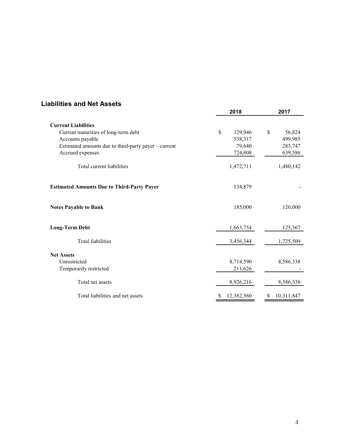### **Liabilities and Net Assets**

|                                                      | 2018             | 2017             |
|------------------------------------------------------|------------------|------------------|
| <b>Current Liabilities</b>                           |                  |                  |
| Current maturities of long-term debt                 | \$<br>129,946    | \$<br>56,824     |
| Accounts payable                                     | 538,317          | 499,985          |
| Estimated amounts due to third-party payer - current | 79,640           | 283,747          |
| Accrued expenses                                     | 724,808          | 639,586          |
| Total current liabilities                            | 1,472,711        | 1,480,142        |
| <b>Estimated Amounts Due to Third-Party Payer</b>    | 134,879          |                  |
| <b>Notes Payable to Bank</b>                         | 185,000          | 120,000          |
| <b>Long-Term Debt</b>                                | 1,663,754        | 125,367          |
| Total liabilities                                    | 3,456,344        | 1,725,509        |
| <b>Net Assets</b>                                    |                  |                  |
| Unrestricted                                         | 8,714,590        | 8,586,338        |
| Temporarily restricted                               | 211,626          |                  |
| Total net assets                                     | 8,926,216        | 8,586,338        |
| Total liabilities and net assets                     | 12,382,560<br>\$ | \$<br>10,311,847 |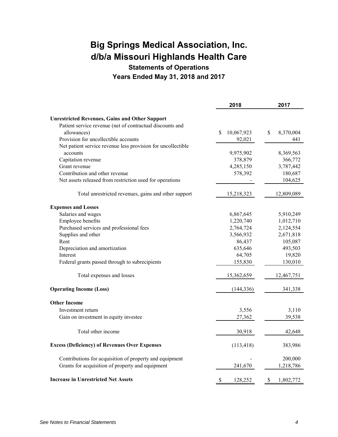## **Statements of Operations**

**Years Ended May 31, 2018 and 2017** 

|                                                              | 2018             | 2017            |
|--------------------------------------------------------------|------------------|-----------------|
| <b>Unrestricted Revenues, Gains and Other Support</b>        |                  |                 |
| Patient service revenue (net of contractual discounts and    |                  |                 |
| allowances)                                                  | \$<br>10,067,923 | 8,370,004<br>\$ |
| Provision for uncollectible accounts                         | 92,021           | 441             |
| Net patient service revenue less provision for uncollectible |                  |                 |
| accounts                                                     | 9,975,902        | 8,369,563       |
| Capitation revenue                                           | 378,879          | 366,772         |
| Grant revenue                                                | 4,285,150        | 3,787,442       |
| Contribution and other revenue                               | 578,392          | 180,687         |
| Net assets released from restriction used for operations     |                  | 104,625         |
| Total unrestricted revenues, gains and other support         | 15,218,323       | 12,809,089      |
|                                                              |                  |                 |
| <b>Expenses and Losses</b>                                   |                  |                 |
| Salaries and wages                                           | 6,867,645        | 5,910,249       |
| Employee benefits                                            | 1,220,740        | 1,012,710       |
| Purchased services and professional fees                     | 2,764,724        | 2,124,554       |
| Supplies and other                                           | 3,566,932        | 2,671,818       |
| Rent                                                         | 86,437           | 105,087         |
| Depreciation and amortization                                | 635,646          | 493,503         |
| Interest                                                     | 64,705           | 19,820          |
| Federal grants passed through to subrecipients               | 155,830          | 130,010         |
| Total expenses and losses                                    | 15,362,659       | 12,467,751      |
| <b>Operating Income (Loss)</b>                               | (144, 336)       | 341,338         |
| <b>Other Income</b>                                          |                  |                 |
| Investment return                                            | 3,556            | 3,110           |
| Gain on investment in equity investee                        | 27,362           | 39,538          |
|                                                              |                  |                 |
| Total other income                                           | 30,918           | 42,648          |
| <b>Excess (Deficiency) of Revenues Over Expenses</b>         | (113, 418)       | 383,986         |
| Contributions for acquisition of property and equipment      |                  | 200,000         |
| Grants for acquisition of property and equipment             | 241,670          | 1,218,786       |
| <b>Increase in Unrestricted Net Assets</b>                   | \$<br>128,252    | \$<br>1,802,772 |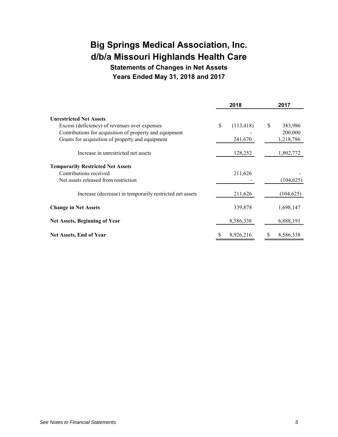**Statements of Changes in Net Assets Years Ended May 31, 2018 and 2017** 

|                                                          | 2018             |   | 2017       |
|----------------------------------------------------------|------------------|---|------------|
| <b>Unrestricted Net Assets</b>                           |                  |   |            |
| Excess (deficiency) of revenues over expenses            | \$<br>(113, 418) | S | 383,986    |
| Contributions for acquisition of property and equipment  |                  |   | 200,000    |
| Grants for acquisition of property and equipment         | 241,670          |   | 1,218,786  |
| Increase in unrestricted net assets                      | 128,252          |   | 1,802,772  |
| <b>Temporarily Restricted Net Assets</b>                 |                  |   |            |
| Contributions received                                   | 211,626          |   |            |
| Net assets released from restriction                     |                  |   | (104, 625) |
| Increase (decrease) in temporarily restricted net assets | 211,626          |   | (104, 625) |
| <b>Change in Net Assets</b>                              | 339,878          |   | 1,698,147  |
| <b>Net Assets, Beginning of Year</b>                     | 8,586,338        |   | 6,888,191  |
| <b>Net Assets, End of Year</b>                           | 8,926,216        | S | 8,586,338  |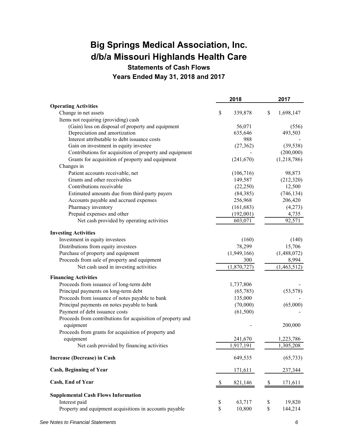**Statements of Cash Flows Years Ended May 31, 2018 and 2017** 

|                                                             |    | 2018        |                            | 2017        |
|-------------------------------------------------------------|----|-------------|----------------------------|-------------|
| <b>Operating Activities</b>                                 |    |             |                            |             |
| Change in net assets                                        | \$ | 339,878     | \$                         | 1,698,147   |
| Items not requiring (providing) cash                        |    |             |                            |             |
| (Gain) loss on disposal of property and equipment           |    | 56,071      |                            | (556)       |
| Depreciation and amortization                               |    | 635,646     |                            | 493,503     |
| Interest attributable to debt issuance costs                |    | 988         |                            |             |
| Gain on investment in equity investee                       |    | (27, 362)   |                            | (39, 538)   |
| Contributions for acquisition of property and equipment     |    |             |                            | (200,000)   |
| Grants for acquisition of property and equipment            |    | (241, 670)  |                            | (1,218,786) |
| Changes in                                                  |    |             |                            |             |
| Patient accounts receivable, net                            |    | (106, 716)  |                            | 98,873      |
| Grants and other receivables                                |    | 149,587     |                            | (212, 320)  |
| Contributions receivable                                    |    | (22, 250)   |                            | 12,500      |
| Estimated amounts due from third-party payers               |    | (84, 385)   |                            | (746, 134)  |
| Accounts payable and accrued expenses                       |    | 256,968     |                            | 206,420     |
| Pharmacy inventory                                          |    | (161, 683)  |                            | (4,273)     |
| Prepaid expenses and other                                  |    | (192,001)   |                            | 4,735       |
| Net cash provided by operating activities                   |    | 603,071     |                            | 92,571      |
|                                                             |    |             |                            |             |
| <b>Investing Activities</b>                                 |    |             |                            |             |
| Investment in equity investees                              |    | (160)       |                            | (140)       |
| Distributions from equity investees                         |    | 78,299      |                            | 15,706      |
| Purchase of property and equipment                          |    | (1,949,166) |                            | (1,488,072) |
| Proceeds from sale of property and equipment                |    | 300         |                            | 8,994       |
| Net cash used in investing activities                       |    | (1,870,727) |                            | (1,463,512) |
| <b>Financing Activities</b>                                 |    |             |                            |             |
| Proceeds from issuance of long-term debt                    |    | 1,737,806   |                            |             |
| Principal payments on long-term debt                        |    | (65,785)    |                            | (53, 578)   |
| Proceeds from issuance of notes payable to bank             |    | 135,000     |                            |             |
| Principal payments on notes payable to bank                 |    | (70,000)    |                            | (65,000)    |
| Payment of debt issuance costs                              |    | (61, 500)   |                            |             |
| Proceeds from contributions for acquisition of property and |    |             |                            |             |
| equipment                                                   |    |             |                            | 200,000     |
| Proceeds from grants for acquisition of property and        |    |             |                            |             |
|                                                             |    |             |                            |             |
| equipment                                                   |    | 241,670     |                            | 1,223,786   |
| Net cash provided by financing activities                   |    | 1,917,191   |                            | 1,305,208   |
| Increase (Decrease) in Cash                                 |    | 649,535     |                            | (65, 733)   |
| <b>Cash, Beginning of Year</b>                              |    | 171,611     |                            | 237,344     |
| Cash, End of Year                                           | S  | 821,146     | $\boldsymbol{\mathcal{S}}$ | 171,611     |
| <b>Supplemental Cash Flows Information</b>                  |    |             |                            |             |
| Interest paid                                               | \$ | 63,717      | \$                         | 19,820      |
| Property and equipment acquisitions in accounts payable     | \$ | 10,800      | \$                         | 144,214     |
|                                                             |    |             |                            |             |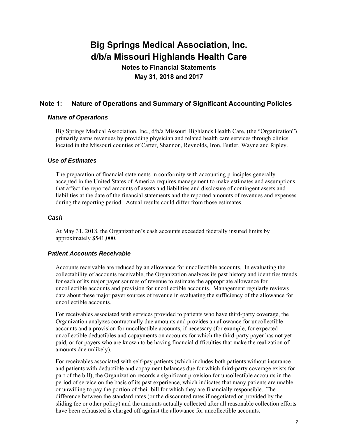**Notes to Financial Statements May 31, 2018 and 2017** 

### **Note 1: Nature of Operations and Summary of Significant Accounting Policies**

#### *Nature of Operations*

Big Springs Medical Association, Inc., d/b/a Missouri Highlands Health Care, (the "Organization") primarily earns revenues by providing physician and related health care services through clinics located in the Missouri counties of Carter, Shannon, Reynolds, Iron, Butler, Wayne and Ripley.

#### *Use of Estimates*

The preparation of financial statements in conformity with accounting principles generally accepted in the United States of America requires management to make estimates and assumptions that affect the reported amounts of assets and liabilities and disclosure of contingent assets and liabilities at the date of the financial statements and the reported amounts of revenues and expenses during the reporting period. Actual results could differ from those estimates.

#### *Cash*

At May 31, 2018, the Organization's cash accounts exceeded federally insured limits by approximately \$541,000.

#### *Patient Accounts Receivable*

Accounts receivable are reduced by an allowance for uncollectible accounts. In evaluating the collectability of accounts receivable, the Organization analyzes its past history and identifies trends for each of its major payer sources of revenue to estimate the appropriate allowance for uncollectible accounts and provision for uncollectible accounts. Management regularly reviews data about these major payer sources of revenue in evaluating the sufficiency of the allowance for uncollectible accounts.

For receivables associated with services provided to patients who have third-party coverage, the Organization analyzes contractually due amounts and provides an allowance for uncollectible accounts and a provision for uncollectible accounts, if necessary (for example, for expected uncollectible deductibles and copayments on accounts for which the third-party payer has not yet paid, or for payers who are known to be having financial difficulties that make the realization of amounts due unlikely).

For receivables associated with self-pay patients (which includes both patients without insurance and patients with deductible and copayment balances due for which third-party coverage exists for part of the bill), the Organization records a significant provision for uncollectible accounts in the period of service on the basis of its past experience, which indicates that many patients are unable or unwilling to pay the portion of their bill for which they are financially responsible. The difference between the standard rates (or the discounted rates if negotiated or provided by the sliding fee or other policy) and the amounts actually collected after all reasonable collection efforts have been exhausted is charged off against the allowance for uncollectible accounts.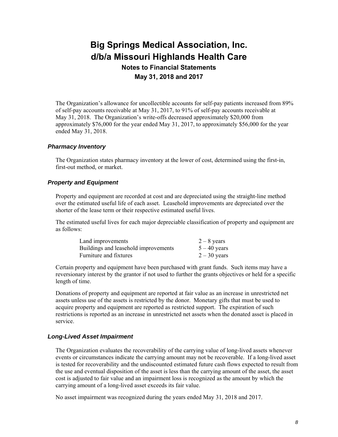## **Big Springs Medical Association, Inc. d/b/a Missouri Highlands Health Care Notes to Financial Statements May 31, 2018 and 2017**

The Organization's allowance for uncollectible accounts for self-pay patients increased from 89% of self-pay accounts receivable at May 31, 2017, to 91% of self-pay accounts receivable at May 31, 2018. The Organization's write-offs decreased approximately \$20,000 from approximately \$76,000 for the year ended May 31, 2017, to approximately \$56,000 for the year ended May 31, 2018.

#### *Pharmacy Inventory*

The Organization states pharmacy inventory at the lower of cost, determined using the first-in, first-out method, or market.

#### *Property and Equipment*

Property and equipment are recorded at cost and are depreciated using the straight-line method over the estimated useful life of each asset. Leasehold improvements are depreciated over the shorter of the lease term or their respective estimated useful lives.

The estimated useful lives for each major depreciable classification of property and equipment are as follows:

| Land improvements                    | $2 - 8$ years  |
|--------------------------------------|----------------|
| Buildings and leasehold improvements | $5 - 40$ years |
| Furniture and fixtures               | $2 - 30$ years |

Certain property and equipment have been purchased with grant funds. Such items may have a reversionary interest by the grantor if not used to further the grants objectives or held for a specific length of time.

Donations of property and equipment are reported at fair value as an increase in unrestricted net assets unless use of the assets is restricted by the donor. Monetary gifts that must be used to acquire property and equipment are reported as restricted support. The expiration of such restrictions is reported as an increase in unrestricted net assets when the donated asset is placed in service.

#### *Long-Lived Asset Impairment*

The Organization evaluates the recoverability of the carrying value of long-lived assets whenever events or circumstances indicate the carrying amount may not be recoverable. If a long-lived asset is tested for recoverability and the undiscounted estimated future cash flows expected to result from the use and eventual disposition of the asset is less than the carrying amount of the asset, the asset cost is adjusted to fair value and an impairment loss is recognized as the amount by which the carrying amount of a long-lived asset exceeds its fair value.

No asset impairment was recognized during the years ended May 31, 2018 and 2017.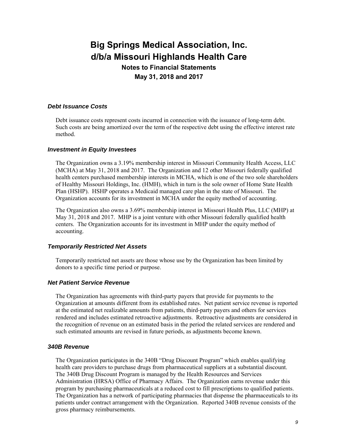### **Notes to Financial Statements May 31, 2018 and 2017**

#### *Debt Issuance Costs*

Debt issuance costs represent costs incurred in connection with the issuance of long-term debt. Such costs are being amortized over the term of the respective debt using the effective interest rate method.

#### *Investment in Equity Investees*

The Organization owns a 3.19% membership interest in Missouri Community Health Access, LLC (MCHA) at May 31, 2018 and 2017. The Organization and 12 other Missouri federally qualified health centers purchased membership interests in MCHA, which is one of the two sole shareholders of Healthy Missouri Holdings, Inc. (HMH), which in turn is the sole owner of Home State Health Plan (HSHP). HSHP operates a Medicaid managed care plan in the state of Missouri. The Organization accounts for its investment in MCHA under the equity method of accounting.

The Organization also owns a 3.69% membership interest in Missouri Health Plus, LLC (MHP) at May 31, 2018 and 2017. MHP is a joint venture with other Missouri federally qualified health centers. The Organization accounts for its investment in MHP under the equity method of accounting.

#### *Temporarily Restricted Net Assets*

Temporarily restricted net assets are those whose use by the Organization has been limited by donors to a specific time period or purpose.

#### *Net Patient Service Revenue*

The Organization has agreements with third-party payers that provide for payments to the Organization at amounts different from its established rates. Net patient service revenue is reported at the estimated net realizable amounts from patients, third-party payers and others for services rendered and includes estimated retroactive adjustments. Retroactive adjustments are considered in the recognition of revenue on an estimated basis in the period the related services are rendered and such estimated amounts are revised in future periods, as adjustments become known.

#### *340B Revenue*

The Organization participates in the 340B "Drug Discount Program" which enables qualifying health care providers to purchase drugs from pharmaceutical suppliers at a substantial discount. The 340B Drug Discount Program is managed by the Health Resources and Services Administration (HRSA) Office of Pharmacy Affairs. The Organization earns revenue under this program by purchasing pharmaceuticals at a reduced cost to fill prescriptions to qualified patients. The Organization has a network of participating pharmacies that dispense the pharmaceuticals to its patients under contract arrangement with the Organization. Reported 340B revenue consists of the gross pharmacy reimbursements.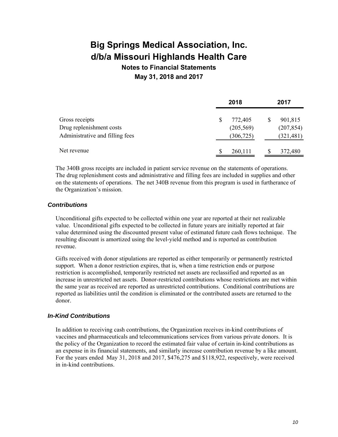#### **Notes to Financial Statements May 31, 2018 and 2017**

|                                 | 2018         | 2017         |
|---------------------------------|--------------|--------------|
| Gross receipts                  | 772,405<br>S | 901,815<br>S |
| Drug replenishment costs        | (205, 569)   | (207, 854)   |
| Administrative and filling fees | (306, 725)   | (321, 481)   |
| Net revenue                     | 260,111      | 372,480      |

The 340B gross receipts are included in patient service revenue on the statements of operations. The drug replenishment costs and administrative and filling fees are included in supplies and other on the statements of operations. The net 340B revenue from this program is used in furtherance of the Organization's mission.

#### *Contributions*

Unconditional gifts expected to be collected within one year are reported at their net realizable value. Unconditional gifts expected to be collected in future years are initially reported at fair value determined using the discounted present value of estimated future cash flows technique. The resulting discount is amortized using the level-yield method and is reported as contribution revenue.

Gifts received with donor stipulations are reported as either temporarily or permanently restricted support. When a donor restriction expires, that is, when a time restriction ends or purpose restriction is accomplished, temporarily restricted net assets are reclassified and reported as an increase in unrestricted net assets. Donor-restricted contributions whose restrictions are met within the same year as received are reported as unrestricted contributions. Conditional contributions are reported as liabilities until the condition is eliminated or the contributed assets are returned to the donor.

### *In-Kind Contributions*

In addition to receiving cash contributions, the Organization receives in-kind contributions of vaccines and pharmaceuticals and telecommunications services from various private donors. It is the policy of the Organization to record the estimated fair value of certain in-kind contributions as an expense in its financial statements, and similarly increase contribution revenue by a like amount. For the years ended May 31, 2018 and 2017, \$476,275 and \$118,922, respectively, were received in in-kind contributions.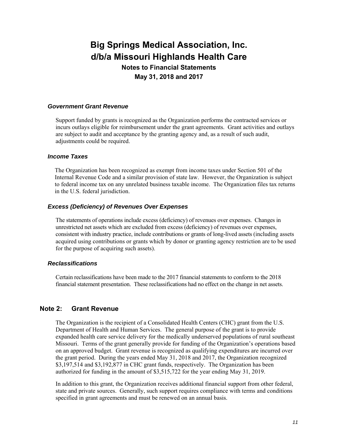### **Notes to Financial Statements May 31, 2018 and 2017**

#### *Government Grant Revenue*

Support funded by grants is recognized as the Organization performs the contracted services or incurs outlays eligible for reimbursement under the grant agreements. Grant activities and outlays are subject to audit and acceptance by the granting agency and, as a result of such audit, adjustments could be required.

#### *Income Taxes*

The Organization has been recognized as exempt from income taxes under Section 501 of the Internal Revenue Code and a similar provision of state law. However, the Organization is subject to federal income tax on any unrelated business taxable income. The Organization files tax returns in the U.S. federal jurisdiction.

#### *Excess (Deficiency) of Revenues Over Expenses*

The statements of operations include excess (deficiency) of revenues over expenses. Changes in unrestricted net assets which are excluded from excess (deficiency) of revenues over expenses, consistent with industry practice, include contributions or grants of long-lived assets (including assets acquired using contributions or grants which by donor or granting agency restriction are to be used for the purpose of acquiring such assets).

#### *Reclassifications*

Certain reclassifications have been made to the 2017 financial statements to conform to the 2018 financial statement presentation. These reclassifications had no effect on the change in net assets.

#### **Note 2: Grant Revenue**

The Organization is the recipient of a Consolidated Health Centers (CHC) grant from the U.S. Department of Health and Human Services. The general purpose of the grant is to provide expanded health care service delivery for the medically underserved populations of rural southeast Missouri. Terms of the grant generally provide for funding of the Organization's operations based on an approved budget. Grant revenue is recognized as qualifying expenditures are incurred over the grant period. During the years ended May 31, 2018 and 2017, the Organization recognized \$3,197,514 and \$3,192,877 in CHC grant funds, respectively. The Organization has been authorized for funding in the amount of \$3,515,722 for the year ending May 31, 2019.

In addition to this grant, the Organization receives additional financial support from other federal, state and private sources. Generally, such support requires compliance with terms and conditions specified in grant agreements and must be renewed on an annual basis.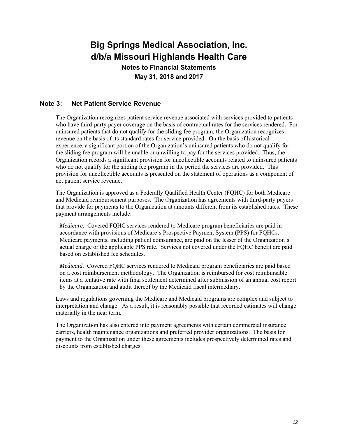**Notes to Financial Statements May 31, 2018 and 2017** 

### **Note 3: Net Patient Service Revenue**

The Organization recognizes patient service revenue associated with services provided to patients who have third-party payer coverage on the basis of contractual rates for the services rendered. For uninsured patients that do not qualify for the sliding fee program, the Organization recognizes revenue on the basis of its standard rates for service provided. On the basis of historical experience, a significant portion of the Organization's uninsured patients who do not qualify for the sliding fee program will be unable or unwilling to pay for the services provided. Thus, the Organization records a significant provision for uncollectible accounts related to uninsured patients who do not qualify for the sliding fee program in the period the services are provided. This provision for uncollectible accounts is presented on the statement of operations as a component of net patient service revenue.

The Organization is approved as a Federally Qualified Health Center (FQHC) for both Medicare and Medicaid reimbursement purposes. The Organization has agreements with third-party payers that provide for payments to the Organization at amounts different from its established rates. These payment arrangements include:

*Medicare*. Covered FQHC services rendered to Medicare program beneficiaries are paid in accordance with provisions of Medicare's Prospective Payment System (PPS) for FQHCs. Medicare payments, including patient coinsurance, are paid on the lesser of the Organization's actual charge or the applicable PPS rate. Services not covered under the FQHC benefit are paid based on established fee schedules.

*Medicaid*. Covered FQHC services rendered to Medicaid program beneficiaries are paid based on a cost reimbursement methodology. The Organization is reimbursed for cost reimbursable items at a tentative rate with final settlement determined after submission of an annual cost report by the Organization and audit thereof by the Medicaid fiscal intermediary.

Laws and regulations governing the Medicare and Medicaid programs are complex and subject to interpretation and change. As a result, it is reasonably possible that recorded estimates will change materially in the near term.

The Organization has also entered into payment agreements with certain commercial insurance carriers, health maintenance organizations and preferred provider organizations. The basis for payment to the Organization under these agreements includes prospectively determined rates and discounts from established charges.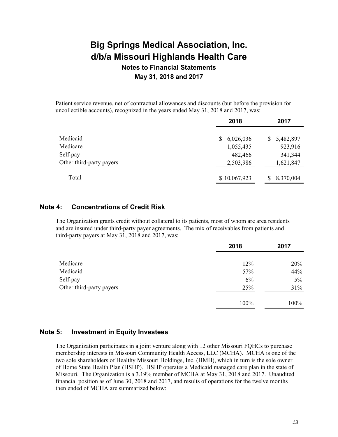### **Big Springs Medical Association, Inc. d/b/a Missouri Highlands Health Care Notes to Financial Statements May 31, 2018 and 2017**

Patient service revenue, net of contractual allowances and discounts (but before the provision for uncollectible accounts), recognized in the years ended May 31, 2018 and 2017, was:

|                          | 2018            | 2017            |
|--------------------------|-----------------|-----------------|
| Medicaid                 | 6,026,036<br>S. | 5,482,897<br>\$ |
| Medicare                 | 1,055,435       | 923,916         |
| Self-pay                 | 482,466         | 341,344         |
| Other third-party payers | 2,503,986       | 1,621,847       |
| Total                    | \$10,067,923    | 8,370,004<br>S  |
|                          |                 |                 |

#### **Note 4: Concentrations of Credit Risk**

The Organization grants credit without collateral to its patients, most of whom are area residents and are insured under third-party payer agreements. The mix of receivables from patients and third-party payers at May 31, 2018 and 2017, was:

|                          | 2018 | 2017  |
|--------------------------|------|-------|
|                          |      |       |
| Medicare                 | 12%  | 20%   |
| Medicaid                 | 57%  | 44%   |
| Self-pay                 | 6%   | $5\%$ |
| Other third-party payers | 25%  | 31%   |
|                          | 100% | 100%  |

#### **Note 5: Investment in Equity Investees**

The Organization participates in a joint venture along with 12 other Missouri FQHCs to purchase membership interests in Missouri Community Health Access, LLC (MCHA). MCHA is one of the two sole shareholders of Healthy Missouri Holdings, Inc. (HMH), which in turn is the sole owner of Home State Health Plan (HSHP). HSHP operates a Medicaid managed care plan in the state of Missouri. The Organization is a 3.19% member of MCHA at May 31, 2018 and 2017. Unaudited financial position as of June 30, 2018 and 2017, and results of operations for the twelve months then ended of MCHA are summarized below: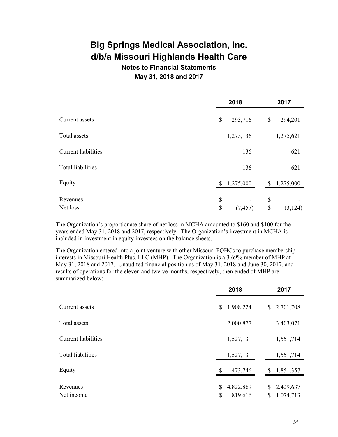### **Notes to Financial Statements**

**May 31, 2018 and 2017** 

|                            | 2018                                 | 2017                 |
|----------------------------|--------------------------------------|----------------------|
| Current assets             | 293,716<br>$\boldsymbol{\mathsf{S}}$ | 294,201<br>\$        |
| Total assets               | 1,275,136                            | 1,275,621            |
| <b>Current</b> liabilities | 136                                  | 621                  |
| Total liabilities          | 136                                  | 621                  |
| Equity                     | 1,275,000<br>\$                      | 1,275,000<br>\$      |
| Revenues<br>Net loss       | \$<br>\$<br>(7, 457)                 | \$<br>\$<br>(3, 124) |

The Organization's proportionate share of net loss in MCHA amounted to \$160 and \$100 for the years ended May 31, 2018 and 2017, respectively. The Organization's investment in MCHA is included in investment in equity investees on the balance sheets.

The Organization entered into a joint venture with other Missouri FQHCs to purchase membership interests in Missouri Health Plus, LLC (MHP). The Organization is a 3.69% member of MHP at May 31, 2018 and 2017. Unaudited financial position as of May 31, 2018 and June 30, 2017, and results of operations for the eleven and twelve months, respectively, then ended of MHP are summarized below:

|                            | 2018            | 2017             |
|----------------------------|-----------------|------------------|
| Current assets             | 1,908,224<br>\$ | 2,701,708<br>\$  |
| Total assets               | 2,000,877       | 3,403,071        |
| <b>Current liabilities</b> | 1,527,131       | 1,551,714        |
| <b>Total liabilities</b>   | 1,527,131       | 1,551,714        |
| Equity                     | \$<br>473,746   | 1,851,357<br>\$. |
| Revenues                   | \$<br>4,822,869 | 2,429,637<br>\$  |
| Net income                 | \$<br>819,616   | 1,074,713<br>\$  |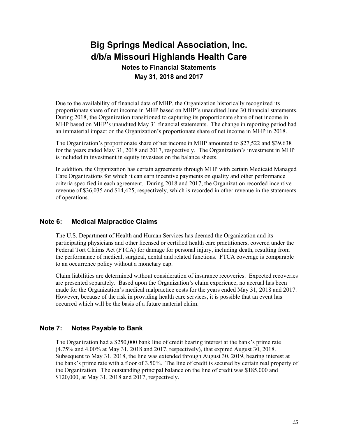## **Big Springs Medical Association, Inc. d/b/a Missouri Highlands Health Care Notes to Financial Statements May 31, 2018 and 2017**

Due to the availability of financial data of MHP, the Organization historically recognized its proportionate share of net income in MHP based on MHP's unaudited June 30 financial statements. During 2018, the Organization transitioned to capturing its proportionate share of net income in MHP based on MHP's unaudited May 31 financial statements. The change in reporting period had an immaterial impact on the Organization's proportionate share of net income in MHP in 2018.

The Organization's proportionate share of net income in MHP amounted to \$27,522 and \$39,638 for the years ended May 31, 2018 and 2017, respectively. The Organization's investment in MHP is included in investment in equity investees on the balance sheets.

In addition, the Organization has certain agreements through MHP with certain Medicaid Managed Care Organizations for which it can earn incentive payments on quality and other performance criteria specified in each agreement. During 2018 and 2017, the Organization recorded incentive revenue of \$36,035 and \$14,425, respectively, which is recorded in other revenue in the statements of operations.

### **Note 6: Medical Malpractice Claims**

The U.S. Department of Health and Human Services has deemed the Organization and its participating physicians and other licensed or certified health care practitioners, covered under the Federal Tort Claims Act (FTCA) for damage for personal injury, including death, resulting from the performance of medical, surgical, dental and related functions. FTCA coverage is comparable to an occurrence policy without a monetary cap.

Claim liabilities are determined without consideration of insurance recoveries. Expected recoveries are presented separately. Based upon the Organization's claim experience, no accrual has been made for the Organization's medical malpractice costs for the years ended May 31, 2018 and 2017. However, because of the risk in providing health care services, it is possible that an event has occurred which will be the basis of a future material claim.

### **Note 7: Notes Payable to Bank**

The Organization had a \$250,000 bank line of credit bearing interest at the bank's prime rate (4.75% and 4.00% at May 31, 2018 and 2017, respectively), that expired August 30, 2018. Subsequent to May 31, 2018, the line was extended through August 30, 2019, bearing interest at the bank's prime rate with a floor of 3.50%. The line of credit is secured by certain real property of the Organization. The outstanding principal balance on the line of credit was \$185,000 and \$120,000, at May 31, 2018 and 2017, respectively.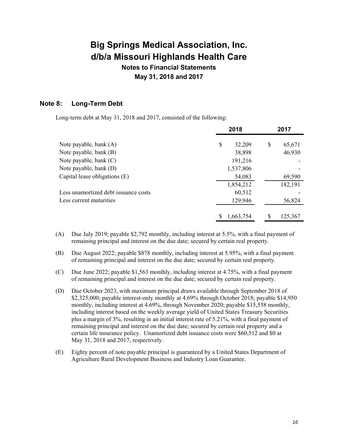#### **Notes to Financial Statements May 31, 2018 and 2017**

#### **Note 8: Long-Term Debt**

Long-term debt at May 31, 2018 and 2017, consisted of the following:

|                                      | 2018         | 2017         |
|--------------------------------------|--------------|--------------|
| Note payable, bank (A)               | \$<br>32,209 | \$<br>65,671 |
| Note payable, bank (B)               | 38,898       | 46,930       |
| Note payable, bank $(C)$             | 191,216      |              |
| Note payable, bank (D)               | 1,537,806    |              |
| Capital lease obligations (E)        | 54,083       | 69,590       |
|                                      | 1,854,212    | 182,191      |
| Less unamortized debt issuance costs | 60,512       |              |
| Less current maturities              | 129,946      | 56,824       |
|                                      | 1,663,754    | 125,367      |

- (A) Due July 2019; payable \$2,792 monthly, including interest at 5.5%, with a final payment of remaining principal and interest on the due date; secured by certain real property.
- (B) Due August 2022; payable \$878 monthly, including interest at 5.95%, with a final payment of remaining principal and interest on the due date; secured by certain real property.
- (C) Due June 2022; payable \$1,563 monthly, including interest at 4.75%, with a final payment of remaining principal and interest on the due date; secured by certain real property.
- (D) Due October 2023, with maximum principal draws available through September 2018 of \$2,325,000; payable interest-only monthly at 4.69% through October 2018; payable \$14,950 monthly, including interest at 4.69%, through November 2020; payable \$15,558 monthly, including interest based on the weekly average yield of United States Treasury Securities plus a margin of 3%, resulting in an initial interest rate of 5.21%, with a final payment of remaining principal and interest on the due date; secured by certain real property and a certain life insurance policy. Unamortized debt issuance costs were \$60,512 and \$0 at May 31, 2018 and 2017, respectively.
- (E) Eighty percent of note payable principal is guaranteed by a United States Department of Agriculture Rural Development Business and Industry Loan Guarantee.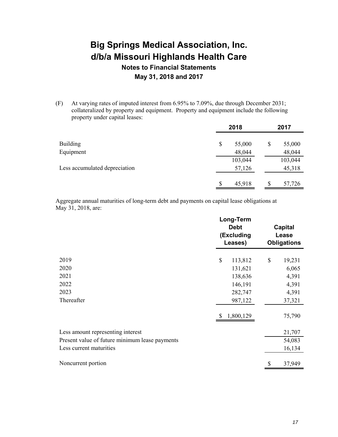### **Big Springs Medical Association, Inc. d/b/a Missouri Highlands Health Care Notes to Financial Statements May 31, 2018 and 2017**

(F) At varying rates of imputed interest from 6.95% to 7.09%, due through December 2031; collateralized by property and equipment. Property and equipment include the following property under capital leases:

|                               | 2018 |         | 2017         |  |
|-------------------------------|------|---------|--------------|--|
| <b>Building</b>               | \$   | 55,000  | \$<br>55,000 |  |
| Equipment                     |      | 48,044  | 48,044       |  |
|                               |      | 103,044 | 103,044      |  |
| Less accumulated depreciation |      | 57,126  | 45,318       |  |
|                               | S    | 45,918  | \$<br>57,726 |  |

Aggregate annual maturities of long-term debt and payments on capital lease obligations at May 31, 2018, are:

|                                                | Long-Term<br><b>Debt</b><br>(Excluding<br>Leases) | <b>Capital</b><br>Lease<br><b>Obligations</b> |  |
|------------------------------------------------|---------------------------------------------------|-----------------------------------------------|--|
| 2019                                           | \$<br>113,812                                     | \$<br>19,231                                  |  |
| 2020                                           | 131,621                                           | 6,065                                         |  |
| 2021                                           | 138,636                                           | 4,391                                         |  |
| 2022                                           | 146,191                                           | 4,391                                         |  |
| 2023                                           | 282,747                                           | 4,391                                         |  |
| Thereafter                                     | 987,122                                           | 37,321                                        |  |
|                                                | 1,800,129<br>\$.                                  | 75,790                                        |  |
| Less amount representing interest              |                                                   | 21,707                                        |  |
| Present value of future minimum lease payments |                                                   | 54,083                                        |  |
| Less current maturities                        |                                                   | 16,134                                        |  |
| Noncurrent portion                             |                                                   | 37,949<br>\$                                  |  |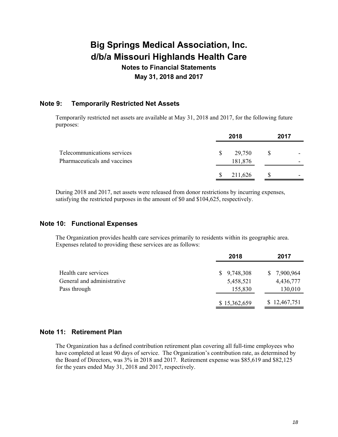### **Notes to Financial Statements May 31, 2018 and 2017**

### **Note 9: Temporarily Restricted Net Assets**

Temporarily restricted net assets are available at May 31, 2018 and 2017, for the following future purposes:

|                                                             | 2018                    | 2017 |   |
|-------------------------------------------------------------|-------------------------|------|---|
| Telecommunications services<br>Pharmaceuticals and vaccines | \$<br>29,750<br>181,876 |      |   |
|                                                             | 211,626                 |      | - |

During 2018 and 2017, net assets were released from donor restrictions by incurring expenses, satisfying the restricted purposes in the amount of \$0 and \$104,625, respectively.

#### **Note 10: Functional Expenses**

The Organization provides health care services primarily to residents within its geographic area. Expenses related to providing these services are as follows:

|                            | 2018                      | 2017           |
|----------------------------|---------------------------|----------------|
| Health care services       | 9,748,308<br><sup>S</sup> | 7,900,964<br>S |
| General and administrative | 5,458,521                 | 4,436,777      |
| Pass through               | 155,830                   | 130,010        |
|                            | \$15,362,659              | \$12,467,751   |

#### **Note 11: Retirement Plan**

The Organization has a defined contribution retirement plan covering all full-time employees who have completed at least 90 days of service. The Organization's contribution rate, as determined by the Board of Directors, was 3% in 2018 and 2017. Retirement expense was \$85,619 and \$82,125 for the years ended May 31, 2018 and 2017, respectively.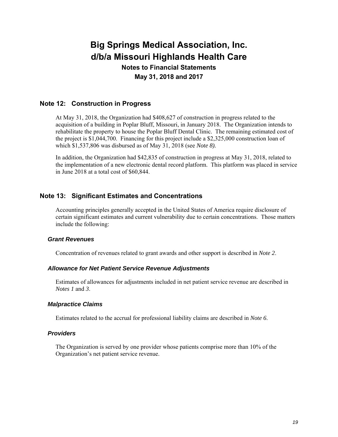### **Notes to Financial Statements May 31, 2018 and 2017**

### **Note 12: Construction in Progress**

At May 31, 2018, the Organization had \$408,627 of construction in progress related to the acquisition of a building in Poplar Bluff, Missouri, in January 2018. The Organization intends to rehabilitate the property to house the Poplar Bluff Dental Clinic. The remaining estimated cost of the project is \$1,044,700. Financing for this project include a \$2,325,000 construction loan of which \$1,537,806 was disbursed as of May 31, 2018 (see *Note 8).* 

In addition, the Organization had \$42,835 of construction in progress at May 31, 2018, related to the implementation of a new electronic dental record platform. This platform was placed in service in June 2018 at a total cost of \$60,844.

### **Note 13: Significant Estimates and Concentrations**

Accounting principles generally accepted in the United States of America require disclosure of certain significant estimates and current vulnerability due to certain concentrations. Those matters include the following:

#### *Grant Revenues*

Concentration of revenues related to grant awards and other support is described in *Note 2*.

#### *Allowance for Net Patient Service Revenue Adjustments*

Estimates of allowances for adjustments included in net patient service revenue are described in *Notes 1* and *3*.

#### *Malpractice Claims*

Estimates related to the accrual for professional liability claims are described in *Note 6*.

#### *Providers*

The Organization is served by one provider whose patients comprise more than 10% of the Organization's net patient service revenue.